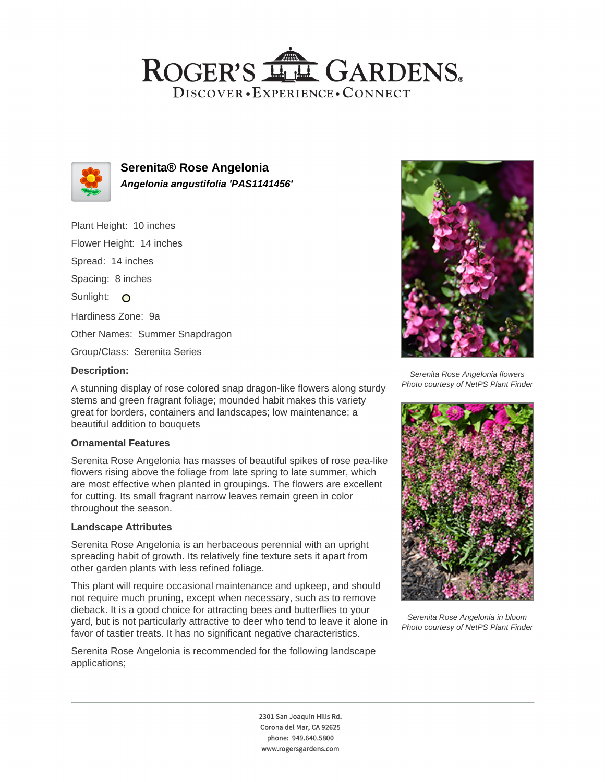## ROGER'S LL GARDENS. DISCOVER · EXPERIENCE · CONNECT



**Serenita® Rose Angelonia Angelonia angustifolia 'PAS1141456'**

Plant Height: 10 inches Flower Height: 14 inches Spread: 14 inches Spacing: 8 inches Sunlight: O Hardiness Zone: 9a Other Names: Summer Snapdragon Group/Class: Serenita Series

#### **Description:**

A stunning display of rose colored snap dragon-like flowers along sturdy stems and green fragrant foliage; mounded habit makes this variety great for borders, containers and landscapes; low maintenance; a beautiful addition to bouquets

### **Ornamental Features**

Serenita Rose Angelonia has masses of beautiful spikes of rose pea-like flowers rising above the foliage from late spring to late summer, which are most effective when planted in groupings. The flowers are excellent for cutting. Its small fragrant narrow leaves remain green in color throughout the season.

### **Landscape Attributes**

Serenita Rose Angelonia is an herbaceous perennial with an upright spreading habit of growth. Its relatively fine texture sets it apart from other garden plants with less refined foliage.

This plant will require occasional maintenance and upkeep, and should not require much pruning, except when necessary, such as to remove dieback. It is a good choice for attracting bees and butterflies to your yard, but is not particularly attractive to deer who tend to leave it alone in favor of tastier treats. It has no significant negative characteristics.

Serenita Rose Angelonia is recommended for the following landscape applications;



Serenita Rose Angelonia flowers Photo courtesy of NetPS Plant Finder



Serenita Rose Angelonia in bloom Photo courtesy of NetPS Plant Finder

2301 San Joaquin Hills Rd. Corona del Mar, CA 92625 phone: 949.640.5800 www.rogersgardens.com